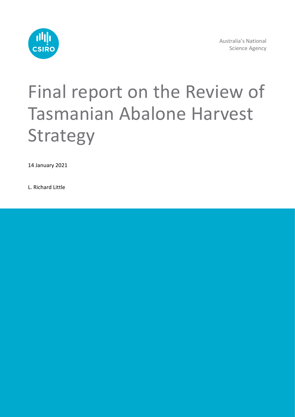

Australia's National Science Agency

# Final report on the Review of Tasmanian Abalone Harvest Strategy

14 January 2021

L. Richard Little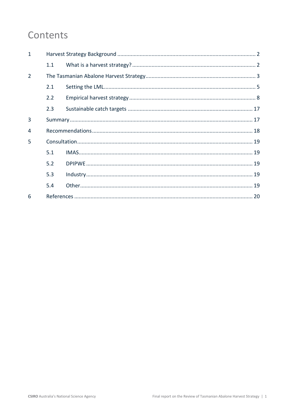# Contents

| $\mathbf{1}$   |     |  |  |  |  |  |  |
|----------------|-----|--|--|--|--|--|--|
|                | 1.1 |  |  |  |  |  |  |
| $\overline{2}$ |     |  |  |  |  |  |  |
|                | 2.1 |  |  |  |  |  |  |
|                | 2.2 |  |  |  |  |  |  |
|                | 2.3 |  |  |  |  |  |  |
| 3              |     |  |  |  |  |  |  |
| 4              |     |  |  |  |  |  |  |
| 5              |     |  |  |  |  |  |  |
|                | 5.1 |  |  |  |  |  |  |
|                | 5.2 |  |  |  |  |  |  |
|                | 5.3 |  |  |  |  |  |  |
|                | 5.4 |  |  |  |  |  |  |
| 6              |     |  |  |  |  |  |  |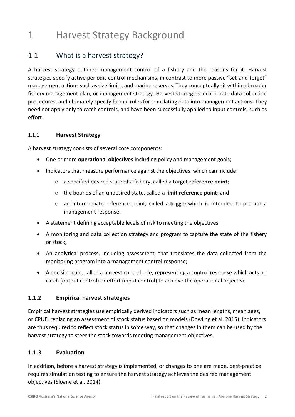# <span id="page-2-0"></span>1 Harvest Strategy Background

### <span id="page-2-1"></span>1.1 What is a harvest strategy?

A harvest strategy outlines management control of a fishery and the reasons for it. Harvest strategies specify active periodic control mechanisms, in contrast to more passive "set-and-forget" management actions such as size limits, and marine reserves. They conceptually sit within a broader fishery management plan, or management strategy. Harvest strategies incorporate data collection procedures, and ultimately specify formal rules for translating data into management actions. They need not apply only to catch controls, and have been successfully applied to input controls, such as effort.

#### **1.1.1 Harvest Strategy**

A harvest strategy consists of several core components:

- One or more **operational objectives** including policy and management goals;
- Indicators that measure performance against the objectives, which can include:
	- o a specified desired state of a fishery, called a **target reference point**;
	- o the bounds of an undesired state, called a **limit reference point**; and
	- o an intermediate reference point, called a **trigger** which is intended to prompt a management response.
- A statement defining acceptable levels of risk to meeting the objectives
- A monitoring and data collection strategy and program to capture the state of the fishery or stock;
- An analytical process, including assessment, that translates the data collected from the monitoring program into a management control response;
- A decision rule, called a harvest control rule, representing a control response which acts on catch (output control) or effort (input control) to achieve the operational objective.

#### **1.1.2 Empirical harvest strategies**

Empirical harvest strategies use empirically derived indicators such as mean lengths, mean ages, or CPUE, replacing an assessment of stock status based on models (Dowling et al. 2015). Indicators are thus required to reflect stock status in some way, so that changes in them can be used by the harvest strategy to steer the stock towards meeting management objectives.

#### **1.1.3 Evaluation**

In addition, before a harvest strategy is implemented, or changes to one are made, best-practice requires simulation testing to ensure the harvest strategy achieves the desired management objectives (Sloane et al. 2014).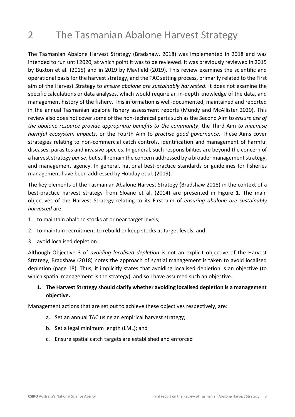# <span id="page-3-0"></span>2 The Tasmanian Abalone Harvest Strategy

The Tasmanian Abalone Harvest Strategy (Bradshaw, 2018) was implemented in 2018 and was intended to run until 2020, at which point it was to be reviewed. It was previously reviewed in 2015 by Buxton et al. (2015) and in 2019 by Mayfield (2019). This review examines the scientific and operational basis for the harvest strategy, and the TAC setting process, primarily related to the First aim of the Harvest Strategy to *ensure abalone are sustainably harvested*. It does not examine the specific calculations or data analyses, which would require an in-depth knowledge of the data, and management history of the fishery. This information is well-documented, maintained and reported in the annual Tasmanian abalone fishery assessment reports (Mundy and McAllister 2020). This review also does not cover some of the non-technical parts such as the Second Aim to *ensure use of the abalone resource provide appropriate benefits to the community*, the Third Aim *to minimise harmful ecosystem impacts*, or the Fourth Aim to *practise good governance*. These Aims cover strategies relating to non-commercial catch controls, identification and management of harmful diseases, parasites and invasive species. In general, such responsibilities are beyond the concern of a harvest strategy *per se*, but still remain the concern addressed by a broader management strategy, and management agency. In general, national best-practice standards or guidelines for fisheries management have been addressed by Hobday et al. (2019).

The key elements of the Tasmanian Abalone Harvest Strategy (Bradshaw 2018) in the context of a best-practice harvest strategy from Sloane et al. (2014) are presented in Figure 1. The main objectives of the Harvest Strategy relating to its First aim of *ensuring abalone are sustainably harvested* are:

- 1. to maintain abalone stocks at or near target levels;
- 2. to maintain recruitment to rebuild or keep stocks at target levels, and
- 3. avoid localised depletion.

Although Objective 3 of *avoiding localised depletion* is not an explicit objective of the Harvest Strategy, Bradshaw (2018) notes the approach of spatial management is taken to avoid localised depletion (page 18). Thus, it implicitly states that avoiding localised depletion is an objective (to which spatial management is the strategy), and so I have assumed such an objective.

#### **1. The Harvest Strategy should clarify whether avoiding localised depletion is a management objective.**

Management actions that are set out to achieve these objectives respectively, are:

- a. Set an annual TAC using an empirical harvest strategy;
- b. Set a legal minimum length (LML); and
- c. Ensure spatial catch targets are established and enforced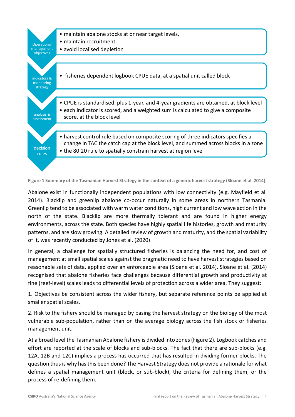

**Figure 1 Summary of the Tasmanian Harvest Strategy in the context of a generic harvest strategy (Sloane et al. 2014).**

Abalone exist in functionally independent populations with low connectivity (e.g. Mayfield et al. 2014). Blacklip and greenlip abalone co-occur naturally in some areas in northern Tasmania. Greenlip tend to be associated with warm water conditions, high current and low wave action in the north of the state. Blacklip are more thermally tolerant and are found in higher energy environments, across the state. Both species have highly spatial life histories, growth and maturity patterns, and are slow growing. A detailed review of growth and maturity, and the spatial variability of it, was recently conducted by Jones et al. (2020).

In general, a challenge for spatially structured fisheries is balancing the need for, and cost of management at small spatial scales against the pragmatic need to have harvest strategies based on reasonable sets of data, applied over an enforceable area (Sloane et al. 2014). Sloane et al. (2014) recognised that abalone fisheries face challenges because differential growth and productivity at fine (reef-level) scales leads to differential levels of protection across a wider area. They suggest:

1. Objectives be consistent across the wider fishery, but separate reference points be applied at smaller spatial scales.

2. Risk to the fishery should be managed by basing the harvest strategy on the biology of the most vulnerable sub-population, rather than on the average biology across the fish stock or fisheries management unit.

At a broad level the Tasmanian Abalone fishery is divided into zones (Figure 2). Logbook catches and effort are reported at the scale of blocks and sub-blocks. The fact that there are sub-blocks (e.g. 12A, 12B and 12C) implies a process has occurred that has resulted in dividing former blocks. The question thus is why has this been done? The Harvest Strategy does not provide a rationale for what defines a spatial management unit (block, or sub-block), the criteria for defining them, or the process of re-defining them.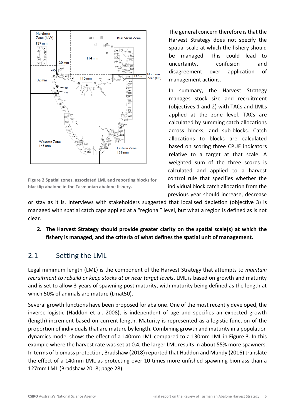

**Figure 2 Spatial zones, associated LML and reporting blocks for blacklip abalone in the Tasmanian abalone fishery.**

The general concern therefore is that the Harvest Strategy does not specify the spatial scale at which the fishery should be managed. This could lead to uncertainty, confusion and disagreement over application of management actions.

In summary, the Harvest Strategy manages stock size and recruitment (objectives 1 and 2) with TACs and LMLs applied at the zone level. TACs are calculated by summing catch allocations across blocks, and sub-blocks. Catch allocations to blocks are calculated based on scoring three CPUE indicators relative to a target at that scale. A weighted sum of the three scores is calculated and applied to a harvest control rule that specifies whether the individual block catch allocation from the previous year should increase, decrease

or stay as it is. Interviews with stakeholders suggested that localised depletion (objective 3) is managed with spatial catch caps applied at a "regional" level, but what a region is defined as is not clear.

**2. The Harvest Strategy should provide greater clarity on the spatial scale(s) at which the fishery is managed, and the criteria of what defines the spatial unit of management.**

### <span id="page-5-0"></span>2.1 Setting the LML

Legal minimum length (LML) is the component of the Harvest Strategy that attempts to *maintain recruitment to rebuild or keep stocks at or near target levels*. LML is based on growth and maturity and is set to allow 3-years of spawning post maturity, with maturity being defined as the length at which 50% of animals are mature (Lmat50).

Several growth functions have been proposed for abalone. One of the most recently developed, the inverse-logistic (Haddon et al. 2008), is independent of age and specifies an expected growth (length) increment based on current length. Maturity is represented as a logistic function of the proportion of individuals that are mature by length. Combining growth and maturity in a population dynamics model shows the effect of a 140mm LML compared to a 130mm LML in Figure 3. In this example where the harvest rate was set at 0.4, the larger LML results in about 55% more spawners. In terms of biomass protection, Bradshaw (2018) reported that Haddon and Mundy (2016) translate the effect of a 140mm LML as protecting over 10 times more unfished spawning biomass than a 127mm LML (Bradshaw 2018; page 28).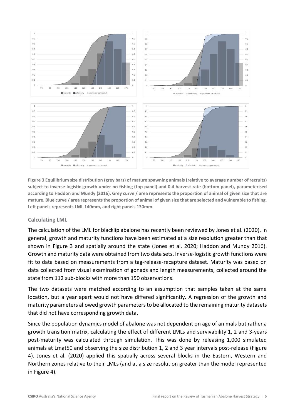

**Figure 3 Equilibrium size distribution (grey bars) of mature spawning animals (relative to average number of recruits) subject to inverse-logistic growth under no fishing (top panel) and 0.4 harvest rate (bottom panel), parameterised according to Haddon and Mundy (2016). Grey curve / area represents the proportion of animal of given size that are** mature. Blue curve / area represents the proportion of animal of given size that are selected and vulnerable to fishing. **Left panels represents LML 140mm, and right panels 130mm.**

#### **Calculating LML**

The calculation of the LML for blacklip abalone has recently been reviewed by Jones et al. (2020). In general, growth and maturity functions have been estimated at a size resolution greater than that shown in Figure 3 and spatially around the state (Jones et al. 2020; Haddon and Mundy 2016). Growth and maturity data were obtained from two data sets. Inverse-logistic growth functions were fit to data based on measurements from a tag-release-recapture dataset. Maturity was based on data collected from visual examination of gonads and length measurements, collected around the state from 112 sub-blocks with more than 150 observations.

The two datasets were matched according to an assumption that samples taken at the same location, but a year apart would not have differed significantly. A regression of the growth and maturity parameters allowed growth parameters to be allocated to the remaining maturity datasets that did not have corresponding growth data.

Since the population dynamics model of abalone was not dependent on age of animals but rather a growth transition matrix, calculating the effect of different LMLs and survivability 1, 2 and 3-years post-maturity was calculated through simulation. This was done by releasing 1,000 simulated animals at Lmat50 and observing the size distribution 1, 2 and 3 year intervals post-release (Figure 4). Jones et al. (2020) applied this spatially across several blocks in the Eastern, Western and Northern zones relative to their LMLs (and at a size resolution greater than the model represented in Figure 4).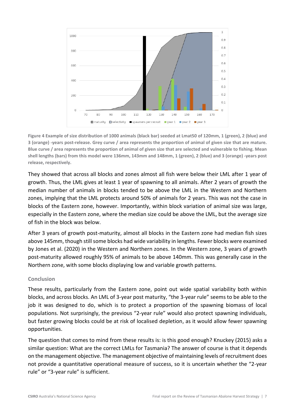

**Figure 4 Example of size distribution of 1000 animals (black bar) seeded at Lmat50 of 120mm, 1 (green), 2 (blue) and**  3 (orange) -years post-release. Grey curve / area represents the proportion of animal of given size that are mature. Blue curve / area represents the proportion of animal of given size that are selected and vulnerable to fishing. Mean **shell lengths (bars) from this model were 136mm, 143mm and 148mm, 1 (green), 2 (blue) and 3 (orange) -years post release, respectively.**

They showed that across all blocks and zones almost all fish were below their LML after 1 year of growth. Thus, the LML gives at least 1 year of spawning to all animals. After 2 years of growth the median number of animals in blocks tended to be above the LML in the Western and Northern zones, implying that the LML protects around 50% of animals for 2 years. This was not the case in blocks of the Eastern zone, however. Importantly, within block variation of animal size was large, especially in the Eastern zone, where the median size could be above the LML, but the average size of fish in the block was below.

After 3 years of growth post-maturity, almost all blocks in the Eastern zone had median fish sizes above 145mm, though still some blocks had wide variability in lengths. Fewer blocks were examined by Jones et al. (2020) in the Western and Northern zones. In the Western zone, 3 years of growth post-maturity allowed roughly 95% of animals to be above 140mm. This was generally case in the Northern zone, with some blocks displaying low and variable growth patterns.

#### **Conclusion**

These results, particularly from the Eastern zone, point out wide spatial variability both within blocks, and across blocks. An LML of 3-year post maturity, "the 3-year rule" seems to be able to the job it was designed to do, which is to protect a proportion of the spawning biomass of local populations. Not surprisingly, the previous "2-year rule" would also protect spawning individuals, but faster growing blocks could be at risk of localised depletion, as it would allow fewer spawning opportunities.

The question that comes to mind from these results is: is this good enough? Knuckey (2015) asks a similar question: What are the correct LMLs for Tasmania? The answer of course is that it depends on the management objective. The management objective of maintaining levels of recruitment does not provide a quantitative operational measure of success, so it is uncertain whether the "2-year rule" or "3-year rule" is sufficient.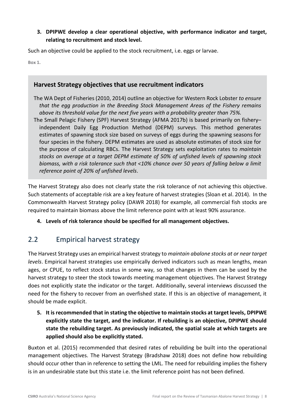#### **3. DPIPWE develop a clear operational objective, with performance indicator and target, relating to recruitment and stock level.**

Such an objective could be applied to the stock recruitment, i.e. eggs or larvae.

**Box 1.**

#### **Harvest Strategy objectives that use recruitment indicators**

The WA Dept of Fisheries (2010, 2014) outline an objective for Western Rock Lobster *to ensure that the egg production in the Breeding Stock Management Areas of the Fishery remains above its threshold value for the next five years with a probability greater than 75%.*

The Small Pelagic Fishery (SPF) Harvest Strategy (AFMA 2017b) is based primarily on fishery– independent Daily Egg Production Method (DEPM) surveys. This method generates estimates of spawning stock size based on surveys of eggs during the spawning seasons for four species in the fishery. DEPM estimates are used as absolute estimates of stock size for the purpose of calculating RBCs. The Harvest Strategy sets exploitation rates to *maintain stocks on average at a target DEPM estimate of 50% of unfished levels of spawning stock biomass, with a risk tolerance such that <10% chance over 50 years of falling below a limit reference point of 20% of unfished levels*.

The Harvest Strategy also does not clearly state the risk tolerance of not achieving this objective. Such statements of acceptable risk are a key feature of harvest strategies (Sloan et al. 2014). In the Commonwealth Harvest Strategy policy (DAWR 2018) for example, all commercial fish stocks are required to maintain biomass above the limit reference point with at least 90% assurance.

**4. Levels of risk tolerance should be specified for all management objectives.**

### <span id="page-8-0"></span>2.2 Empirical harvest strategy

The Harvest Strategy uses an empirical harvest strategy to *maintain abalone stocks at or near target levels*. Empirical harvest strategies use empirically derived indicators such as mean lengths, mean ages, or CPUE, to reflect stock status in some way, so that changes in them can be used by the harvest strategy to steer the stock towards meeting management objectives. The Harvest Strategy does not explicitly state the indicator or the target. Additionally, several interviews discussed the need for the fishery to recover from an overfished state. If this is an objective of management, it should be made explicit.

**5. It is recommended that in stating the objective to maintain stocks at target levels, DPIPWE explicitly state the target, and the indicator. If rebuilding is an objective, DPIPWE should state the rebuilding target. As previously indicated, the spatial scale at which targets are applied should also be explicitly stated.**

Buxton et al. (2015) recommended that desired rates of rebuilding be built into the operational management objectives. The Harvest Strategy (Bradshaw 2018) does not define how rebuilding should occur other than in reference to setting the LML. The need for rebuilding implies the fishery is in an undesirable state but this state i.e. the limit reference point has not been defined.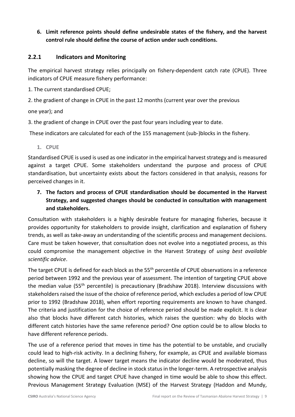#### **6. Limit reference points should define undesirable states of the fishery, and the harvest control rule should define the course of action under such conditions.**

#### **2.2.1 Indicators and Monitoring**

The empirical harvest strategy relies principally on fishery-dependent catch rate (CPUE). Three indicators of CPUE measure fishery performance:

1. The current standardised CPUE;

2. the gradient of change in CPUE in the past 12 months (current year over the previous

one year); and

3. the gradient of change in CPUE over the past four years including year to date.

These indicators are calculated for each of the 155 management (sub-)blocks in the fishery.

#### **1. CPUE**

Standardised CPUE is used is used as one indicator in the empirical harvest strategy and is measured against a target CPUE. Some stakeholders understand the purpose and process of CPUE standardisation, but uncertainty exists about the factors considered in that analysis, reasons for perceived changes in it.

#### **7. The factors and process of CPUE standardisation should be documented in the Harvest Strategy, and suggested changes should be conducted in consultation with management and stakeholders.**

Consultation with stakeholders is a highly desirable feature for managing fisheries, because it provides opportunity for stakeholders to provide insight, clarification and explanation of fishery trends, as well as take-away an understanding of the scientific process and management decisions. Care must be taken however, that consultation does not evolve into a negotiated process, as this could compromise the management objective in the Harvest Strategy of *using best available scientific advice*.

The target CPUE is defined for each block as the 55<sup>th</sup> percentile of CPUE observations in a reference period between 1992 and the previous year of assessment. The intention of targeting CPUE above the median value (55<sup>th</sup> percentile) is precautionary (Bradshaw 2018). Interview discussions with stakeholders raised the issue of the choice of reference period, which excludes a period of low CPUE prior to 1992 (Bradshaw 2018), when effort reporting requirements are known to have changed. The criteria and justification for the choice of reference period should be made explicit. It is clear also that blocks have different catch histories, which raises the question: why do blocks with different catch histories have the same reference period? One option could be to allow blocks to have different reference periods.

The use of a reference period that moves in time has the potential to be unstable, and crucially could lead to high-risk activity. In a declining fishery, for example, as CPUE and available biomass decline, so will the target. A lower target means the indicator decline would be moderated, thus potentially masking the degree of decline in stock statusin the longer-term. A retrospective analysis showing how the CPUE and target CPUE have changed in time would be able to show this effect. Previous Management Strategy Evaluation (MSE) of the Harvest Strategy (Haddon and Mundy,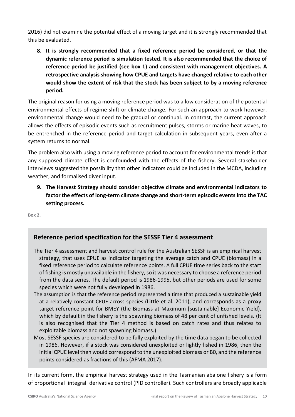2016) did not examine the potential effect of a moving target and it is strongly recommended that this be evaluated.

**8. It is strongly recommended that a fixed reference period be considered, or that the dynamic reference period is simulation tested. It is also recommended that the choice of reference period be justified (see box 1) and consistent with management objectives. A retrospective analysis showing how CPUE and targets have changed relative to each other would show the extent of risk that the stock has been subject to by a moving reference period.**

The original reason for using a moving reference period was to allow consideration of the potential environmental effects of regime shift or climate change. For such an approach to work however, environmental change would need to be gradual or continual. In contrast, the current approach allows the effects of episodic events such as recruitment pulses, storms or marine heat waves, to be entrenched in the reference period and target calculation in subsequent years, even after a system returns to normal.

The problem also with using a moving reference period to account for environmental trends is that any supposed climate effect is confounded with the effects of the fishery. Several stakeholder interviews suggested the possibility that other indicators could be included in the MCDA, including weather, and formalised diver input.

**9. The Harvest Strategy should consider objective climate and environmental indicators to factor the effects of long-term climate change and short-term episodic events into the TAC setting process.**

**Box 2.**

#### **Reference period specification for the SESSF Tier 4 assessment**

- The Tier 4 assessment and harvest control rule for the Australian SESSF is an empirical harvest strategy, that uses CPUE as indicator targeting the average catch and CPUE (biomass) in a fixed reference period to calculate reference points. A full CPUE time series back to the start of fishing is mostly unavailable in the fishery, so it was necessary to choose a reference period from the data series. The default period is 1986-1995, but other periods are used for some species which were not fully developed in 1986.
- The assumption is that the reference period represented a time that produced a sustainable yield at a relatively constant CPUE across species (Little et al. 2011), and corresponds as a proxy target reference point for BMEY (the Biomass at Maximum [sustainable] Economic Yield), which by default in the fishery is the spawning biomass of 48 per cent of unfished levels. (It is also recognised that the Tier 4 method is based on catch rates and thus relates to exploitable biomass and not spawning biomass.)
- Most SESSF species are considered to be fully exploited by the time data began to be collected in 1986. However, if a stock was considered unexploited or lightly fished in 1986, then the initial CPUE level then would correspond to the unexploited biomass or B0, and the reference points considered as fractions of this (AFMA 2017).

In its current form, the empirical harvest strategy used in the Tasmanian abalone fishery is a form of proportional–integral–derivative control (PID controller). Such controllers are broadly applicable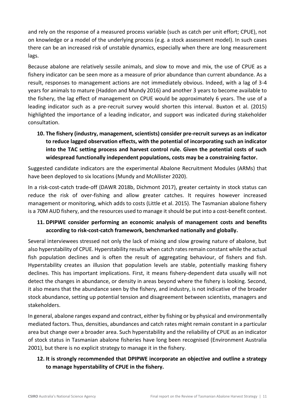and rely on the response of a measured process variable (such as catch per unit effort; CPUE), not on knowledge or a model of the underlying process (e.g. a stock assessment model). In such cases there can be an increased risk of unstable dynamics, especially when there are long measurement lags.

Because abalone are relatively sessile animals, and slow to move and mix, the use of CPUE as a fishery indicator can be seen more as a measure of prior abundance than current abundance. As a result, responses to management actions are not immediately obvious. Indeed, with a lag of 3-4 years for animals to mature (Haddon and Mundy 2016) and another 3 years to become available to the fishery, the lag effect of management on CPUE would be approximately 6 years. The use of a leading indicator such as a pre-recruit survey would shorten this interval. Buxton et al. (2015) highlighted the importance of a leading indicator, and support was indicated during stakeholder consultation.

**10. The fishery (industry, management, scientists) consider pre-recruit surveys as an indicator to reduce lagged observation effects, with the potential of incorporating such an indicator into the TAC setting process and harvest control rule. Given the potential costs of such widespread functionally independent populations, costs may be a constraining factor.**

Suggested candidate indicators are the experimental Abalone Recruitment Modules (ARMs) that have been deployed to six locations (Mundy and McAllister 2020).

In a risk-cost-catch trade-off (DAWR 2018b, Dichmont 2017), greater certainty in stock status can reduce the risk of over-fishing and allow greater catches. It requires however increased management or monitoring, which adds to costs (Little et al. 2015). The Tasmanian abalone fishery is a 70M AUD fishery, and the resources used to manage it should be put into a cost-benefit context.

#### **11. DPIPWE consider performing an economic analysis of management costs and benefits according to risk-cost-catch framework, benchmarked nationally and globally.**

Several interviewees stressed not only the lack of mixing and slow growing nature of abalone, but also hyperstability of CPUE. Hyperstability results when catch rates remain constant while the actual fish population declines and is often the result of aggregating behaviour, of fishers and fish. Hyperstability creates an illusion that population levels are stable, potentially masking fishery declines. This has important implications. First, it means fishery-dependent data usually will not detect the changes in abundance, or density in areas beyond where the fishery is looking. Second, it also means that the abundance seen by the fishery, and industry, is not indicative of the broader stock abundance, setting up potential tension and disagreement between scientists, managers and stakeholders.

In general, abalone ranges expand and contract, either by fishing or by physical and environmentally mediated factors. Thus, densities, abundances and catch rates might remain constant in a particular area but change over a broader area. Such hyperstability and the reliability of CPUE as an indicator of stock status in Tasmanian abalone fisheries have long been recognised (Environment Australia 2001), but there is no explicit strategy to manage it in the fishery.

#### **12. It is strongly recommended that DPIPWE incorporate an objective and outline a strategy to manage hyperstability of CPUE in the fishery.**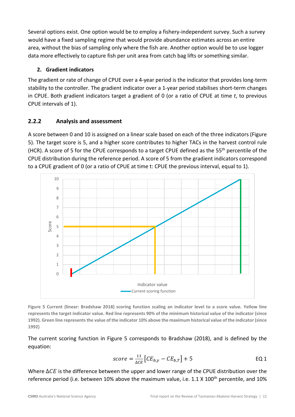Several options exist. One option would be to employ a fishery-independent survey. Such a survey would have a fixed sampling regime that would provide abundance estimates across an entire area, without the bias of sampling only where the fish are. Another option would be to use logger data more effectively to capture fish per unit area from catch bag lifts or something similar.

#### **2. Gradient indicators**

The gradient or rate of change of CPUE over a 4-year period is the indicator that provides long-term stability to the controller. The gradient indicator over a 1-year period stabilises short-term changes in CPUE. Both gradient indicators target a gradient of 0 (or a ratio of CPUE at time *t*, to previous CPUE intervals of 1).

#### **2.2.2 Analysis and assessment**

A score between 0 and 10 is assigned on a linear scale based on each of the three indicators (Figure 5). The target score is 5, and a higher score contributes to higher TACs in the harvest control rule (HCR). A score of 5 for the CPUE corresponds to a target CPUE defined as the 55<sup>th</sup> percentile of the CPUE distribution during the reference period. A score of 5 from the gradient indicators correspond to a CPUE gradient of 0 (or a ratio of CPUE at time t: CPUE the previous interval, equal to 1).



**Figure 5 Current (linear: Bradshaw 2018) scoring function scaling an indicator level to a score value. Yellow line represents the target indicator value. Red line represents 90% of the minimum historical value of the indicator (since 1992). Green line represents the value of the indicator 10% above the maximum historical value of the indicator (since 1992)**

The current scoring function in Figure 5 corresponds to Bradshaw (2018), and is defined by the equation:

$$
score = \frac{11}{\Delta CE} \left[ CE_{b,y} - CE_{b,T} \right] + 5
$$
EQ1

Where  $\Delta CE$  is the difference between the upper and lower range of the CPUE distribution over the reference period (i.e. between 10% above the maximum value, i.e. 1.1 X 100<sup>th</sup> percentile, and 10%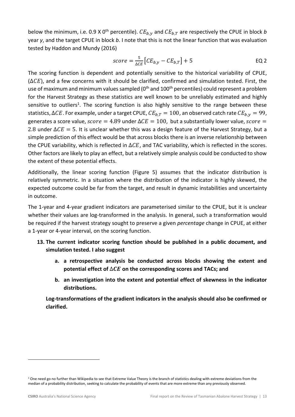below the minimum, i.e. 0.9 X 0<sup>th</sup> percentile).  $CE_{b,y}$  and  $CE_{b,T}$  are respectively the CPUE in block *b* year *y*, and the target CPUE in block *b*. I note that this is not the linear function that was evaluation tested by Haddon and Mundy (2016)

$$
score = \frac{5}{\Delta CE} \left[ CE_{b,y} - CE_{b,T} \right] + 5
$$
EQ2

The scoring function is dependent and potentially sensitive to the historical variability of CPUE,  $(\Delta CE)$ , and a few concerns with it should be clarified, confirmed and simulation tested. First, the use of maximum and minimum values sampled (0<sup>th</sup> and 100<sup>th</sup> percentiles) could represent a problem for the Harvest Strategy as these statistics are well known to be unreliably estimated and highly sensitive to outliers<sup>1</sup>. The scoring function is also highly sensitive to the range between these statistics,  $\Delta CE$ . For example, under a target CPUE,  $CE_{b,T} = 100$ , an observed catch rate  $CE_{b,\nu} = 99$ , generates a score value,  $score = 4.89$  under  $\Delta CE = 100$ , but a substantially lower value,  $score =$ 2.8 under  $\Delta CE = 5$ . It is unclear whether this was a design feature of the Harvest Strategy, but a simple prediction of this effect would be that across blocks there is an inverse relationship between the CPUE variability, which is reflected in  $\Delta CE$ , and TAC variability, which is reflected in the scores. Other factors are likely to play an effect, but a relatively simple analysis could be conducted to show the extent of these potential effects.

Additionally, the linear scoring function (Figure 5) assumes that the indicator distribution is relatively symmetric. In a situation where the distribution of the indicator is highly skewed, the expected outcome could be far from the target, and result in dynamic instabilities and uncertainty in outcome.

The 1-year and 4-year gradient indicators are parameterised similar to the CPUE, but it is unclear whether their values are log-transformed in the analysis. In general, such a transformation would be required if the harvest strategy sought to preserve a given *percentage* change in CPUE, at either a 1-year or 4-year interval, on the scoring function.

- **13. The current indicator scoring function should be published in a public document, and simulation tested. I also suggest** 
	- **a. a retrospective analysis be conducted across blocks showing the extent and potential effect of**  $\Delta CE$  on the corresponding scores and TACs; and
	- **b. an investigation into the extent and potential effect of skewness in the indicator distributions.**

**Log-transformations of the gradient indicators in the analysis should also be confirmed or clarified.**

<sup>&</sup>lt;sup>1</sup> One need go no further than Wikipedia to see that Extreme Value Theory is the branch o[f statistics](https://en.wikipedia.org/wiki/Statistics) dealing with extrem[e deviations](https://en.wikipedia.org/wiki/Deviation_(statistics)) from the [median](https://en.wikipedia.org/wiki/Median) of [a probability distribution,](https://en.wikipedia.org/wiki/Probability_distribution) seeking to calculate the probability of events that are more extreme than any previously observed.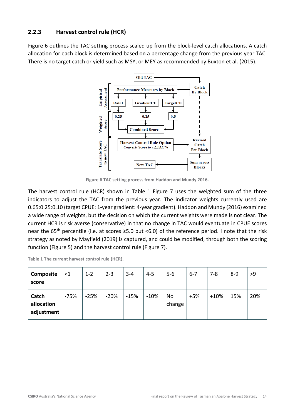#### **2.2.3 Harvest control rule (HCR)**

Figure 6 outlines the TAC setting process scaled up from the block-level catch allocations. A catch allocation for each block is determined based on a percentage change from the previous year TAC. There is no target catch or yield such as MSY, or MEY as recommended by Buxton et al. (2015).



**Figure 6 TAC setting process from Haddon and Mundy 2016.**

The harvest control rule (HCR) shown in Table 1 Figure 7 uses the weighted sum of the three indicators to adjust the TAC from the previous year. The indicator weights currently used are 0.65:0.25:0.10 (target CPUE: 1-year gradient: 4-year gradient). Haddon and Mundy (2016) examined a wide range of weights, but the decision on which the current weights were made is not clear. The current HCR is risk averse (conservative) in that no change in TAC would eventuate in CPUE scores near the 65th percentile (i.e. at scores ≥5.0 but <6.0) of the reference period. I note that the risk strategy as noted by Mayfield (2019) is captured, and could be modified, through both the scoring function (Figure 5) and the harvest control rule (Figure 7).

| Table 1 The current harvest control rule (HCR). |  |  |  |  |  |
|-------------------------------------------------|--|--|--|--|--|
|-------------------------------------------------|--|--|--|--|--|

| Composite<br>score                | $<$ 1  | $1 - 2$ | $2 - 3$ | $3 - 4$ | $4 - 5$ | $5 - 6$      | $6 - 7$ | $7 - 8$ | $8 - 9$ | >9  |
|-----------------------------------|--------|---------|---------|---------|---------|--------------|---------|---------|---------|-----|
| Catch<br>allocation<br>adjustment | $-75%$ | $-25%$  | $-20%$  | $-15%$  | $-10%$  | No<br>change | $+5%$   | $+10%$  | 15%     | 20% |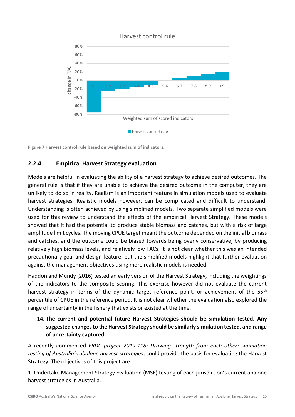

**Figure 7 Harvest control rule based on weighted sum of indicators.**

#### **2.2.4 Empirical Harvest Strategy evaluation**

Models are helpful in evaluating the ability of a harvest strategy to achieve desired outcomes. The general rule is that if they are unable to achieve the desired outcome in the computer, they are unlikely to do so in reality. Realism is an important feature in simulation models used to evaluate harvest strategies. Realistic models however, can be complicated and difficult to understand. Understanding is often achieved by using simplified models. Two separate simplified models were used for this review to understand the effects of the empirical Harvest Strategy. These models showed that it had the potential to produce stable biomass and catches, but with a risk of large amplitude limit cycles. The moving CPUE target meant the outcome depended on the initial biomass and catches, and the outcome could be biased towards being overly conservative, by producing relatively high biomass levels, and relatively low TACs. It is not clear whether this was an intended precautionary goal and design feature, but the simplified models highlight that further evaluation against the management objectives using more realistic models is needed.

Haddon and Mundy (2016) tested an early version of the Harvest Strategy, including the weightings of the indicators to the composite scoring. This exercise however did not evaluate the current harvest strategy in terms of the dynamic target reference point, or achievement of the  $55<sup>th</sup>$ percentile of CPUE in the reference period. It is not clear whether the evaluation also explored the range of uncertainty in the fishery that exists or existed at the time.

#### **14. The current and potential future Harvest Strategies should be simulation tested. Any suggested changes to the Harvest Strategy should be similarly simulation tested, and range of uncertainty captured.**

A recently commenced *FRDC project 2019-118: Drawing strength from each other: simulation testing of Australia's abalone harvest strategies*, could provide the basis for evaluating the Harvest Strategy. The objectives of this project are:

1. Undertake Management Strategy Evaluation (MSE) testing of each jurisdiction's current abalone harvest strategies in Australia.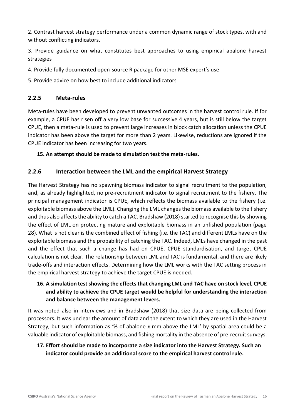2. Contrast harvest strategy performance under a common dynamic range of stock types, with and without conflicting indicators.

3. Provide guidance on what constitutes best approaches to using empirical abalone harvest strategies

4. Provide fully documented open-source R package for other MSE expert's use

5. Provide advice on how best to include additional indicators

#### **2.2.5 Meta-rules**

Meta-rules have been developed to prevent unwanted outcomes in the harvest control rule. If for example, a CPUE has risen off a very low base for successive 4 years, but is still below the target CPUE, then a meta-rule is used to prevent large increases in block catch allocation unless the CPUE indicator has been above the target for more than 2 years. Likewise, reductions are ignored if the CPUE indicator has been increasing for two years.

#### **15. An attempt should be made to simulation test the meta-rules.**

#### **2.2.6 Interaction between the LML and the empirical Harvest Strategy**

The Harvest Strategy has no spawning biomass indicator to signal recruitment to the population, and, as already highlighted, no pre-recruitment indicator to signal recruitment to the fishery. The principal management indicator is CPUE, which reflects the biomass available to the fishery (i.e. exploitable biomass above the LML). Changing the LML changes the biomass available to the fishery and thus also affects the ability to catch a TAC. Bradshaw (2018) started to recognise this by showing the effect of LML on protecting mature and exploitable biomass in an unfished population (page 28). What is not clear is the combined effect of fishing (i.e. the TAC) and different LMLs have on the exploitable biomass and the probability of catching the TAC. Indeed, LMLs have changed in the past and the effect that such a change has had on CPUE, CPUE standardisation, and target CPUE calculation is not clear. The relationship between LML and TAC is fundamental, and there are likely trade-offs and interaction effects. Determining how the LML works with the TAC setting process in the empirical harvest strategy to achieve the target CPUE is needed.

#### **16. A simulation testshowing the effects that changing LML and TAC have on stock level, CPUE and ability to achieve the CPUE target would be helpful for understanding the interaction and balance between the management levers.**

It was noted also in interviews and in Bradshaw (2018) that size data are being collected from processors. It was unclear the amount of data and the extent to which they are used in the Harvest Strategy, but such information as '% of abalone *x* mm above the LML' by spatial area could be a valuable indicator of exploitable biomass, and fishing mortality in the absence of pre-recruit surveys.

#### **17. Effort should be made to incorporate a size indicator into the Harvest Strategy. Such an indicator could provide an additional score to the empirical harvest control rule.**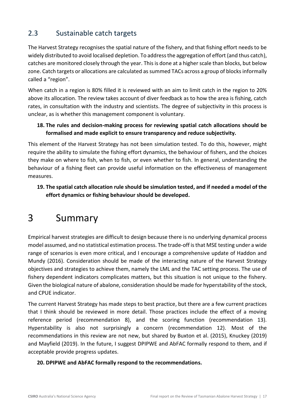### <span id="page-17-0"></span>2.3 Sustainable catch targets

The Harvest Strategy recognises the spatial nature of the fishery, and that fishing effort needs to be widely distributed to avoid localised depletion. To address the aggregation of effort (and thus catch), catches are monitored closely through the year. This is done at a higher scale than blocks, but below zone. Catch targets or allocations are calculated as summed TACs across a group of blocksinformally called a "region".

When catch in a region is 80% filled it is reviewed with an aim to limit catch in the region to 20% above its allocation. The review takes account of diver feedback as to how the area is fishing, catch rates, in consultation with the industry and scientists. The degree of subjectivity in this process is unclear, as is whether this management component is voluntary.

#### **18. The rules and decision-making process for reviewing spatial catch allocations should be formalised and made explicit to ensure transparency and reduce subjectivity.**

This element of the Harvest Strategy has not been simulation tested. To do this, however, might require the ability to simulate the fishing effort dynamics, the behaviour of fishers, and the choices they make on where to fish, when to fish, or even whether to fish. In general, understanding the behaviour of a fishing fleet can provide useful information on the effectiveness of management measures.

#### **19. The spatial catch allocation rule should be simulation tested, and if needed a model of the effort dynamics or fishing behaviour should be developed.**

# <span id="page-17-1"></span>3 Summary

Empirical harvest strategies are difficult to design because there is no underlying dynamical process model assumed, and no statistical estimation process. The trade-off is that MSE testing under a wide range of scenarios is even more critical, and I encourage a comprehensive update of Haddon and Mundy (2016). Consideration should be made of the interacting nature of the Harvest Strategy objectives and strategies to achieve them, namely the LML and the TAC setting process. The use of fishery dependent indicators complicates matters, but this situation is not unique to the fishery. Given the biological nature of abalone, consideration should be made for hyperstability of the stock, and CPUE indicator.

The current Harvest Strategy has made steps to best practice, but there are a few current practices that I think should be reviewed in more detail. Those practices include the effect of a moving reference period (recommendation 8), and the scoring function (recommendation 13). Hyperstability is also not surprisingly a concern (recommendation 12). Most of the recommendations in this review are not new, but shared by Buxton et al. (2015), Knuckey (2019) and Mayfield (2019). In the future, I suggest DPIPWE and AbFAC formally respond to them, and if acceptable provide progress updates.

#### **20. DPIPWE and AbFAC formally respond to the recommendations.**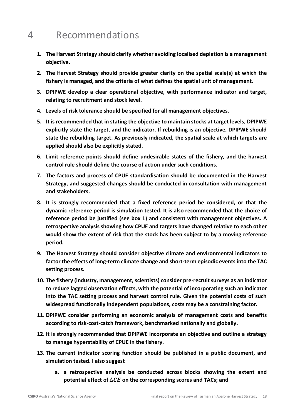### <span id="page-18-0"></span>4 Recommendations

- **1. The Harvest Strategy should clarify whether avoiding localised depletion is a management objective.**
- **2. The Harvest Strategy should provide greater clarity on the spatial scale(s) at which the fishery is managed, and the criteria of what defines the spatial unit of management.**
- **3. DPIPWE develop a clear operational objective, with performance indicator and target, relating to recruitment and stock level.**
- **4. Levels of risk tolerance should be specified for all management objectives.**
- **5. It is recommended that in stating the objective to maintain stocks at target levels, DPIPWE explicitly state the target, and the indicator. If rebuilding is an objective, DPIPWE should state the rebuilding target. As previously indicated, the spatial scale at which targets are applied should also be explicitly stated.**
- **6. Limit reference points should define undesirable states of the fishery, and the harvest control rule should define the course of action under such conditions.**
- **7. The factors and process of CPUE standardisation should be documented in the Harvest Strategy, and suggested changes should be conducted in consultation with management and stakeholders.**
- **8. It is strongly recommended that a fixed reference period be considered, or that the dynamic reference period is simulation tested. It is also recommended that the choice of reference period be justified (see box 1) and consistent with management objectives. A retrospective analysis showing how CPUE and targets have changed relative to each other would show the extent of risk that the stock has been subject to by a moving reference period.**
- **9. The Harvest Strategy should consider objective climate and environmental indicators to factor the effects of long-term climate change and short-term episodic events into the TAC setting process.**
- **10. The fishery (industry, management, scientists) consider pre-recruit surveys as an indicator to reduce lagged observation effects, with the potential of incorporating such an indicator into the TAC setting process and harvest control rule. Given the potential costs of such widespread functionally independent populations, costs may be a constraining factor.**
- **11. DPIPWE consider performing an economic analysis of management costs and benefits according to risk-cost-catch framework, benchmarked nationally and globally.**
- **12. It is strongly recommended that DPIPWE incorporate an objective and outline a strategy to manage hyperstability of CPUE in the fishery.**
- **13. The current indicator scoring function should be published in a public document, and simulation tested. I also suggest** 
	- **a. a retrospective analysis be conducted across blocks showing the extent and potential effect of**  $\Delta CE$  on the corresponding scores and TACs; and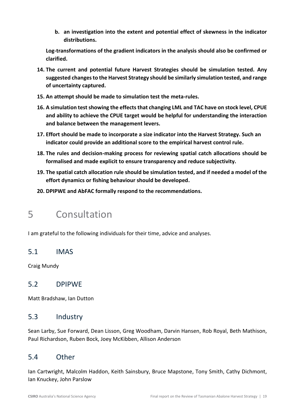**b. an investigation into the extent and potential effect of skewness in the indicator distributions.**

**Log-transformations of the gradient indicators in the analysis should also be confirmed or clarified.**

- **14. The current and potential future Harvest Strategies should be simulation tested. Any suggested changes to the Harvest Strategy should be similarly simulation tested, and range of uncertainty captured.**
- **15. An attempt should be made to simulation test the meta-rules.**
- **16. A simulation testshowing the effects that changing LML and TAC have on stock level, CPUE and ability to achieve the CPUE target would be helpful for understanding the interaction and balance between the management levers.**
- **17. Effort should be made to incorporate a size indicator into the Harvest Strategy. Such an indicator could provide an additional score to the empirical harvest control rule.**
- **18. The rules and decision-making process for reviewing spatial catch allocations should be formalised and made explicit to ensure transparency and reduce subjectivity.**
- **19. The spatial catch allocation rule should be simulation tested, and if needed a model of the effort dynamics or fishing behaviour should be developed.**
- **20. DPIPWE and AbFAC formally respond to the recommendations.**

### <span id="page-19-0"></span>5 Consultation

I am grateful to the following individuals for their time, advice and analyses.

#### <span id="page-19-1"></span>5.1 IMAS

Craig Mundy

#### <span id="page-19-2"></span>5.2 DPIPWE

Matt Bradshaw, Ian Dutton

#### <span id="page-19-3"></span>5.3 Industry

Sean Larby, Sue Forward, Dean Lisson, Greg Woodham, Darvin Hansen, Rob Royal, Beth Mathison, Paul Richardson, Ruben Bock, Joey McKibben, Allison Anderson

### <span id="page-19-4"></span>5.4 Other

Ian Cartwright, Malcolm Haddon, Keith Sainsbury, Bruce Mapstone, Tony Smith, Cathy Dichmont, Ian Knuckey, John Parslow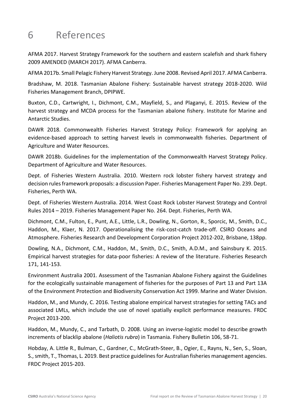# <span id="page-20-0"></span>6 References

AFMA 2017. Harvest Strategy Framework for the southern and eastern scalefish and shark fishery 2009 AMENDED (MARCH 2017). AFMA Canberra.

AFMA 2017b. Small Pelagic Fishery Harvest Strategy. June 2008. Revised April 2017. AFMA Canberra.

Bradshaw, M. 2018. Tasmanian Abalone Fishery: Sustainable harvest strategy 2018-2020. Wild Fisheries Management Branch, DPIPWE.

Buxton, C.D., Cartwright, I., Dichmont, C.M., Mayfield, S., and Plaganyi, E. 2015. Review of the harvest strategy and MCDA process for the Tasmanian abalone fishery. Institute for Marine and Antarctic Studies.

DAWR 2018. Commonwealth Fisheries Harvest Strategy Policy: Framework for applying an evidence-based approach to setting harvest levels in commonwealth fisheries. Department of Agriculture and Water Resources.

DAWR 2018b. Guidelines for the implementation of the Commonwealth Harvest Strategy Policy. Department of Agriculture and Water Resources.

Dept. of Fisheries Western Australia. 2010. Western rock lobster fishery harvest strategy and decision rules framework proposals: a discussion Paper. Fisheries Management Paper No. 239. Dept. Fisheries, Perth WA.

Dept. of Fisheries Western Australia. 2014. West Coast Rock Lobster Harvest Strategy and Control Rules 2014 – 2019. Fisheries Management Paper No. 264. Dept. Fisheries, Perth WA.

Dichmont, C.M., Fulton, E., Punt, A.E., Little, L.R., Dowling, N., Gorton, R., Sporcic, M., Smith, D.C., Haddon, M., Klaer, N. 2017. Operationalising the risk-cost-catch trade-off. CSIRO Oceans and Atmosphere. Fisheries Research and Development Corporation Project 2012-202, Brisbane, 138pp.

Dowling, N.A., Dichmont, C.M., Haddon, M., Smith, D.C., Smith, A.D.M., and Sainsbury K. 2015. Empirical harvest strategies for data-poor fisheries: A review of the literature. Fisheries Research 171, 141-153.

Environment Australia 2001. Assessment of the Tasmanian Abalone Fishery against the Guidelines for the ecologically sustainable management of fisheries for the purposes of Part 13 and Part 13A of the Environment Protection and Biodiversity Conservation Act 1999. Marine and Water Division.

Haddon, M., and Mundy, C. 2016. Testing abalone empirical harvest strategies for setting TACs and associated LMLs, which include the use of novel spatially explicit performance measures. FRDC Project 2013-200.

Haddon, M., Mundy, C., and Tarbath, D. 2008. Using an inverse-logistic model to describe growth increments of blacklip abalone (*Haliotis rubra*) in Tasmania. Fishery Bulletin 106, 58-71.

Hobday, A. Little R., Bulman, C., Gardner, C., McGrath-Steer, B., Ogier, E., Rayns, N., Sen, S., Sloan, S., smith, T., Thomas, L. 2019. Best practice guidelines for Australian fisheries management agencies. FRDC Project 2015-203.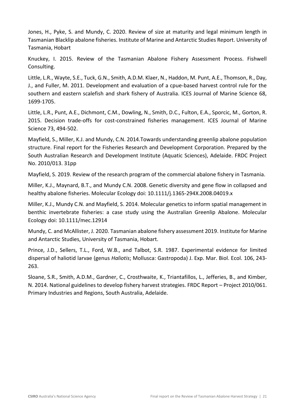Jones, H., Pyke, S. and Mundy, C. 2020. Review of size at maturity and legal minimum length in Tasmanian Blacklip abalone fisheries. Institute of Marine and Antarctic Studies Report. University of Tasmania, Hobart

Knuckey, I. 2015. Review of the Tasmanian Abalone Fishery Assessment Process. Fishwell Consulting.

Little, L.R., Wayte, S.E., Tuck, G.N., Smith, A.D.M. Klaer, N., Haddon, M. Punt, A.E., Thomson, R., Day, J., and Fuller, M. 2011. Development and evaluation of a cpue-based harvest control rule for the southern and eastern scalefish and shark fishery of Australia. ICES Journal of Marine Science 68, 1699-1705.

Little, L.R., Punt, A.E., Dichmont, C.M., Dowling, N., Smith, D.C., Fulton, E.A., Sporcic, M., Gorton, R. 2015. Decision trade-offs for cost-constrained fisheries management. ICES Journal of Marine Science 73, 494-502.

Mayfield, S., Miller, K.J. and Mundy, C.N. 2014.Towards understanding greenlip abalone population structure. Final report for the Fisheries Research and Development Corporation. Prepared by the South Australian Research and Development Institute (Aquatic Sciences), Adelaide. FRDC Project No. 2010/013. 31pp

Mayfield, S. 2019. Review of the research program of the commercial abalone fishery in Tasmania.

Miller, K.J., Maynard, B.T., and Mundy C.N. 2008. Genetic diversity and gene flow in collapsed and healthy abalone fisheries. Molecular Ecology doi: 10.1111/j.1365-294X.2008.04019.x

Miller, K.J., Mundy C.N. and Mayfield, S. 2014. Molecular genetics to inform spatial management in benthic invertebrate fisheries: a case study using the Australian Greenlip Abalone. Molecular Ecology doi: 10.1111/mec.12914

Mundy, C. and McAllister, J. 2020. Tasmanian abalone fishery assessment 2019. Institute for Marine and Antarctic Studies, University of Tasmania, Hobart.

Prince, J.D., Sellers, T.L., Ford, W.B., and Talbot, S.R. 1987. Experimental evidence for limited dispersal of haliotid larvae (genus *Haliotis*; Mollusca: Gastropoda) J. Exp. Mar. Biol. Ecol. 106, 243- 263.

Sloane, S.R., Smith, A.D.M., Gardner, C., Crosthwaite, K., Triantafillos, L., Jefferies, B., and Kimber, N. 2014. National guidelines to develop fishery harvest strategies. FRDC Report – Project 2010/061. Primary Industries and Regions, South Australia, Adelaide.